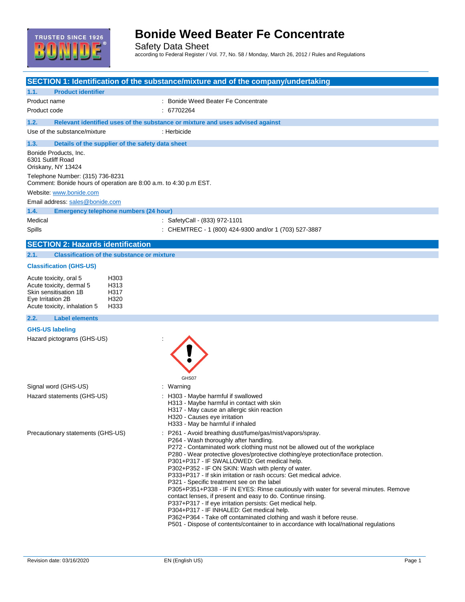

Safety Data Sheet according to Federal Register / Vol. 77, No. 58 / Monday, March 26, 2012 / Rules and Regulations

|                                                                                                                                                                          | SECTION 1: Identification of the substance/mixture and of the company/undertaking                                                                                                                                                                                                                                                                                                                                                                                                                                                                                                                                                                                                                                                                                                                                                                                                                                                  |
|--------------------------------------------------------------------------------------------------------------------------------------------------------------------------|------------------------------------------------------------------------------------------------------------------------------------------------------------------------------------------------------------------------------------------------------------------------------------------------------------------------------------------------------------------------------------------------------------------------------------------------------------------------------------------------------------------------------------------------------------------------------------------------------------------------------------------------------------------------------------------------------------------------------------------------------------------------------------------------------------------------------------------------------------------------------------------------------------------------------------|
| 1.1.<br><b>Product identifier</b>                                                                                                                                        |                                                                                                                                                                                                                                                                                                                                                                                                                                                                                                                                                                                                                                                                                                                                                                                                                                                                                                                                    |
| Product name                                                                                                                                                             | : Bonide Weed Beater Fe Concentrate                                                                                                                                                                                                                                                                                                                                                                                                                                                                                                                                                                                                                                                                                                                                                                                                                                                                                                |
| Product code                                                                                                                                                             | : 67702264                                                                                                                                                                                                                                                                                                                                                                                                                                                                                                                                                                                                                                                                                                                                                                                                                                                                                                                         |
| 1.2.                                                                                                                                                                     | Relevant identified uses of the substance or mixture and uses advised against                                                                                                                                                                                                                                                                                                                                                                                                                                                                                                                                                                                                                                                                                                                                                                                                                                                      |
| Use of the substance/mixture                                                                                                                                             | : Herbicide                                                                                                                                                                                                                                                                                                                                                                                                                                                                                                                                                                                                                                                                                                                                                                                                                                                                                                                        |
| Details of the supplier of the safety data sheet<br>1.3.                                                                                                                 |                                                                                                                                                                                                                                                                                                                                                                                                                                                                                                                                                                                                                                                                                                                                                                                                                                                                                                                                    |
| Bonide Products, Inc.<br>6301 Sutliff Road<br>Oriskany, NY 13424                                                                                                         |                                                                                                                                                                                                                                                                                                                                                                                                                                                                                                                                                                                                                                                                                                                                                                                                                                                                                                                                    |
| Telephone Number: (315) 736-8231<br>Comment: Bonide hours of operation are 8:00 a.m. to 4:30 p.m EST.                                                                    |                                                                                                                                                                                                                                                                                                                                                                                                                                                                                                                                                                                                                                                                                                                                                                                                                                                                                                                                    |
| Website: www.bonide.com                                                                                                                                                  |                                                                                                                                                                                                                                                                                                                                                                                                                                                                                                                                                                                                                                                                                                                                                                                                                                                                                                                                    |
| Email address: sales@bonide.com                                                                                                                                          |                                                                                                                                                                                                                                                                                                                                                                                                                                                                                                                                                                                                                                                                                                                                                                                                                                                                                                                                    |
| 1.4.<br><b>Emergency telephone numbers (24 hour)</b>                                                                                                                     |                                                                                                                                                                                                                                                                                                                                                                                                                                                                                                                                                                                                                                                                                                                                                                                                                                                                                                                                    |
| Medical                                                                                                                                                                  | : SafetyCall - (833) 972-1101                                                                                                                                                                                                                                                                                                                                                                                                                                                                                                                                                                                                                                                                                                                                                                                                                                                                                                      |
| Spills                                                                                                                                                                   | : CHEMTREC - 1 (800) 424-9300 and/or 1 (703) 527-3887                                                                                                                                                                                                                                                                                                                                                                                                                                                                                                                                                                                                                                                                                                                                                                                                                                                                              |
| <b>SECTION 2: Hazards identification</b>                                                                                                                                 |                                                                                                                                                                                                                                                                                                                                                                                                                                                                                                                                                                                                                                                                                                                                                                                                                                                                                                                                    |
| <b>Classification of the substance or mixture</b><br>2.1.                                                                                                                |                                                                                                                                                                                                                                                                                                                                                                                                                                                                                                                                                                                                                                                                                                                                                                                                                                                                                                                                    |
| <b>Classification (GHS-US)</b>                                                                                                                                           |                                                                                                                                                                                                                                                                                                                                                                                                                                                                                                                                                                                                                                                                                                                                                                                                                                                                                                                                    |
| Acute toxicity, oral 5<br>H303<br>Acute toxicity, dermal 5<br>H313<br>Skin sensitisation 1B<br>H317<br>Eye Irritation 2B<br>H320<br>H333<br>Acute toxicity, inhalation 5 |                                                                                                                                                                                                                                                                                                                                                                                                                                                                                                                                                                                                                                                                                                                                                                                                                                                                                                                                    |
| 2.2.<br><b>Label elements</b>                                                                                                                                            |                                                                                                                                                                                                                                                                                                                                                                                                                                                                                                                                                                                                                                                                                                                                                                                                                                                                                                                                    |
| <b>GHS-US labeling</b>                                                                                                                                                   |                                                                                                                                                                                                                                                                                                                                                                                                                                                                                                                                                                                                                                                                                                                                                                                                                                                                                                                                    |
| Hazard pictograms (GHS-US)                                                                                                                                               | GHS07                                                                                                                                                                                                                                                                                                                                                                                                                                                                                                                                                                                                                                                                                                                                                                                                                                                                                                                              |
| Signal word (GHS-US)                                                                                                                                                     | : Warning                                                                                                                                                                                                                                                                                                                                                                                                                                                                                                                                                                                                                                                                                                                                                                                                                                                                                                                          |
| Hazard statements (GHS-US)                                                                                                                                               | : H303 - Maybe harmful if swallowed<br>H313 - Maybe harmful in contact with skin<br>H317 - May cause an allergic skin reaction<br>H320 - Causes eye irritation<br>H333 - May be harmful if inhaled                                                                                                                                                                                                                                                                                                                                                                                                                                                                                                                                                                                                                                                                                                                                 |
| Precautionary statements (GHS-US)                                                                                                                                        | : P261 - Avoid breathing dust/fume/gas/mist/vapors/spray.<br>P264 - Wash thoroughly after handling.<br>P272 - Contaminated work clothing must not be allowed out of the workplace<br>P280 - Wear protective gloves/protective clothing/eye protection/face protection.<br>P301+P317 - IF SWALLOWED: Get medical help.<br>P302+P352 - IF ON SKIN: Wash with plenty of water.<br>P333+P317 - If skin irritation or rash occurs: Get medical advice.<br>P321 - Specific treatment see on the label<br>P305+P351+P338 - IF IN EYES: Rinse cautiously with water for several minutes. Remove<br>contact lenses, if present and easy to do. Continue rinsing.<br>P337+P317 - If eye irritation persists: Get medical help.<br>P304+P317 - IF INHALED: Get medical help.<br>P362+P364 - Take off contaminated clothing and wash it before reuse.<br>P501 - Dispose of contents/container to in accordance with local/national regulations |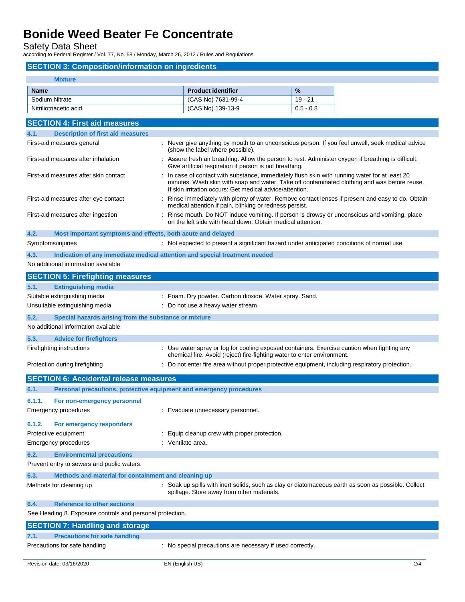Safety Data Sheet

according to Federal Register / Vol. 77, No. 58 / Monday, March 26, 2012 / Rules and Regulations

### **SECTION 3: Composition/information on ingredients**

| <b>Mixture</b>                                                                     |  |                                                                                                                                                                                                                                                          |             |  |
|------------------------------------------------------------------------------------|--|----------------------------------------------------------------------------------------------------------------------------------------------------------------------------------------------------------------------------------------------------------|-------------|--|
| <b>Name</b>                                                                        |  | <b>Product identifier</b>                                                                                                                                                                                                                                | %           |  |
| Sodium Nitrate                                                                     |  | (CAS No) 7631-99-4                                                                                                                                                                                                                                       | $19 - 21$   |  |
| Nitriliotriacetic acid                                                             |  | (CAS No) 139-13-9                                                                                                                                                                                                                                        | $0.5 - 0.8$ |  |
| <b>SECTION 4: First aid measures</b>                                               |  |                                                                                                                                                                                                                                                          |             |  |
| <b>Description of first aid measures</b><br>4.1.                                   |  |                                                                                                                                                                                                                                                          |             |  |
| First-aid measures general                                                         |  | : Never give anything by mouth to an unconscious person. If you feel unwell, seek medical advice<br>(show the label where possible).                                                                                                                     |             |  |
| First-aid measures after inhalation                                                |  | : Assure fresh air breathing. Allow the person to rest. Administer oxygen if breathing is difficult.<br>Give artificial respiration if person is not breathing.                                                                                          |             |  |
| First-aid measures after skin contact                                              |  | In case of contact with substance, immediately flush skin with running water for at least 20<br>minutes. Wash skin with soap and water. Take off contaminated clothing and was before reuse.<br>If skin irritation occurs: Get medical advice/attention. |             |  |
| First-aid measures after eye contact                                               |  | Rinse immediately with plenty of water. Remove contact lenses if present and easy to do. Obtain<br>medical attention if pain, blinking or redness persist.                                                                                               |             |  |
| First-aid measures after ingestion                                                 |  | Rinse mouth. Do NOT induce vomiting. If person is drowsy or unconscious and vomiting, place<br>on the left side with head down. Obtain medical attention.                                                                                                |             |  |
| 4.2.<br>Most important symptoms and effects, both acute and delayed                |  |                                                                                                                                                                                                                                                          |             |  |
| Symptoms/injuries                                                                  |  | : Not expected to present a significant hazard under anticipated conditions of normal use.                                                                                                                                                               |             |  |
| 4.3.<br>Indication of any immediate medical attention and special treatment needed |  |                                                                                                                                                                                                                                                          |             |  |
| No additional information available                                                |  |                                                                                                                                                                                                                                                          |             |  |
| <b>SECTION 5: Firefighting measures</b>                                            |  |                                                                                                                                                                                                                                                          |             |  |
| <b>Extinguishing media</b><br>5.1.                                                 |  |                                                                                                                                                                                                                                                          |             |  |
| Suitable extinguishing media                                                       |  | : Foam. Dry powder. Carbon dioxide. Water spray. Sand.                                                                                                                                                                                                   |             |  |
| Unsuitable extinguishing media                                                     |  | : Do not use a heavy water stream.                                                                                                                                                                                                                       |             |  |
| 5.2.<br>Special hazards arising from the substance or mixture                      |  |                                                                                                                                                                                                                                                          |             |  |
| No additional information available                                                |  |                                                                                                                                                                                                                                                          |             |  |
| 5.3.<br><b>Advice for firefighters</b>                                             |  |                                                                                                                                                                                                                                                          |             |  |
| Firefighting instructions                                                          |  | : Use water spray or fog for cooling exposed containers. Exercise caution when fighting any<br>chemical fire. Avoid (reject) fire-fighting water to enter environment.                                                                                   |             |  |
| Protection during firefighting                                                     |  | : Do not enter fire area without proper protective equipment, including respiratory protection.                                                                                                                                                          |             |  |
| <b>SECTION 6: Accidental release measures</b>                                      |  |                                                                                                                                                                                                                                                          |             |  |
| Personal precautions, protective equipment and emergency procedures<br>6.1.        |  |                                                                                                                                                                                                                                                          |             |  |
| 6.1.1.<br>For non-emergency personnel                                              |  |                                                                                                                                                                                                                                                          |             |  |
| Emergency procedures                                                               |  | : Evacuate unnecessary personnel.                                                                                                                                                                                                                        |             |  |
| 6.1.2.<br>For emergency responders                                                 |  |                                                                                                                                                                                                                                                          |             |  |
| Protective equipment                                                               |  | Equip cleanup crew with proper protection.                                                                                                                                                                                                               |             |  |
| <b>Emergency procedures</b>                                                        |  | : Ventilate area.                                                                                                                                                                                                                                        |             |  |
| 6.2.<br><b>Environmental precautions</b>                                           |  |                                                                                                                                                                                                                                                          |             |  |
| Prevent entry to sewers and public waters.                                         |  |                                                                                                                                                                                                                                                          |             |  |
| Methods and material for containment and cleaning up<br>6.3.                       |  |                                                                                                                                                                                                                                                          |             |  |
| Methods for cleaning up                                                            |  | : Soak up spills with inert solids, such as clay or diatomaceous earth as soon as possible. Collect<br>spillage. Store away from other materials.                                                                                                        |             |  |
| <b>Reference to other sections</b><br>6.4.                                         |  |                                                                                                                                                                                                                                                          |             |  |
| See Heading 8. Exposure controls and personal protection.                          |  |                                                                                                                                                                                                                                                          |             |  |
| <b>SECTION 7: Handling and storage</b>                                             |  |                                                                                                                                                                                                                                                          |             |  |
| <b>Precautions for safe handling</b><br>7.1.                                       |  |                                                                                                                                                                                                                                                          |             |  |
| Precautions for safe handling                                                      |  | : No special precautions are necessary if used correctly.                                                                                                                                                                                                |             |  |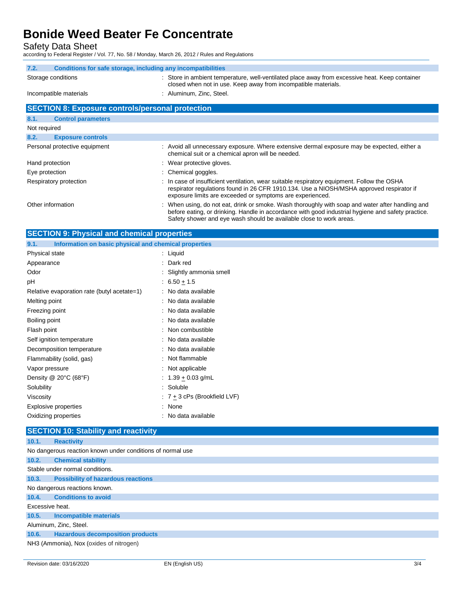Safety Data Sheet

according to Federal Register / Vol. 77, No. 58 / Monday, March 26, 2012 / Rules and Regulations

| Conditions for safe storage, including any incompatibilities<br>7.2. |                                                                                                                                                                                                                                                      |  |  |  |  |
|----------------------------------------------------------------------|------------------------------------------------------------------------------------------------------------------------------------------------------------------------------------------------------------------------------------------------------|--|--|--|--|
| Storage conditions                                                   | : Store in ambient temperature, well-ventilated place away from excessive heat. Keep container<br>closed when not in use. Keep away from incompatible materials.                                                                                     |  |  |  |  |
| Incompatible materials                                               | : Aluminum, Zinc, Steel.                                                                                                                                                                                                                             |  |  |  |  |
|                                                                      |                                                                                                                                                                                                                                                      |  |  |  |  |
| <b>SECTION 8: Exposure controls/personal protection</b>              |                                                                                                                                                                                                                                                      |  |  |  |  |
| <b>Control parameters</b><br>8.1.                                    |                                                                                                                                                                                                                                                      |  |  |  |  |
| Not required                                                         |                                                                                                                                                                                                                                                      |  |  |  |  |
| 8.2.<br><b>Exposure controls</b>                                     |                                                                                                                                                                                                                                                      |  |  |  |  |
| Personal protective equipment                                        | : Avoid all unnecessary exposure. Where extensive dermal exposure may be expected, either a<br>chemical suit or a chemical apron will be needed.                                                                                                     |  |  |  |  |
| Hand protection                                                      | : Wear protective gloves.                                                                                                                                                                                                                            |  |  |  |  |
| Eye protection                                                       | : Chemical goggles.                                                                                                                                                                                                                                  |  |  |  |  |
| Respiratory protection                                               | : In case of insufficient ventilation, wear suitable respiratory equipment. Follow the OSHA<br>respirator regulations found in 26 CFR 1910.134. Use a NIOSH/MSHA approved respirator if<br>exposure limits are exceeded or symptoms are experienced. |  |  |  |  |
| Other information                                                    | : When using, do not eat, drink or smoke. Wash thoroughly with soap and water after handling and                                                                                                                                                     |  |  |  |  |

before eating, or drinking. Handle in accordance with good industrial hygiene and safety practice. Safety shower and eye wash should be available close to work areas. **SECTION 9: Physical and chemical properties**

| <b>OLUTION 9. Filipsical and chemical properties</b>          |                                |  |
|---------------------------------------------------------------|--------------------------------|--|
| Information on basic physical and chemical properties<br>9.1. |                                |  |
| Physical state                                                | $:$ Liquid                     |  |
| Appearance                                                    | : Dark red                     |  |
| Odor                                                          | : Slightly ammonia smell       |  |
| pH                                                            | : $6.50 \pm 1.5$               |  |
| Relative evaporation rate (butyl acetate=1)                   | : No data available            |  |
| Melting point                                                 | : No data available            |  |
| Freezing point                                                | : No data available            |  |
| Boiling point                                                 | : No data available            |  |
| Flash point                                                   | : Non combustible              |  |
| Self ignition temperature                                     | : No data available            |  |
| Decomposition temperature                                     | : No data available            |  |
| Flammability (solid, gas)                                     | : Not flammable                |  |
| Vapor pressure                                                | : Not applicable               |  |
| Density $@$ 20 $°C$ (68 $°F$ )                                | : $1.39 + 0.03$ g/mL           |  |
| Solubility                                                    | : Soluble                      |  |
| Viscosity                                                     | $: 7 + 3$ cPs (Brookfield LVF) |  |
| Explosive properties                                          | : None                         |  |
| Oxidizing properties                                          | : No data available            |  |
|                                                               |                                |  |

### **SECTION 10: Stability and reactivity**

| 10.1.                                                      | <b>Reactivity</b>                         |  |  |  |
|------------------------------------------------------------|-------------------------------------------|--|--|--|
| No dangerous reaction known under conditions of normal use |                                           |  |  |  |
| 10.2.                                                      | <b>Chemical stability</b>                 |  |  |  |
| Stable under normal conditions.                            |                                           |  |  |  |
| 10.3.                                                      | <b>Possibility of hazardous reactions</b> |  |  |  |
| No dangerous reactions known.                              |                                           |  |  |  |
| 10.4.                                                      | <b>Conditions to avoid</b>                |  |  |  |
| Excessive heat.                                            |                                           |  |  |  |
| 10.5.                                                      | Incompatible materials                    |  |  |  |
| Aluminum, Zinc, Steel.                                     |                                           |  |  |  |
| 10.6.                                                      | <b>Hazardous decomposition products</b>   |  |  |  |
| NH3 (Ammonia), Nox (oxides of nitrogen)                    |                                           |  |  |  |